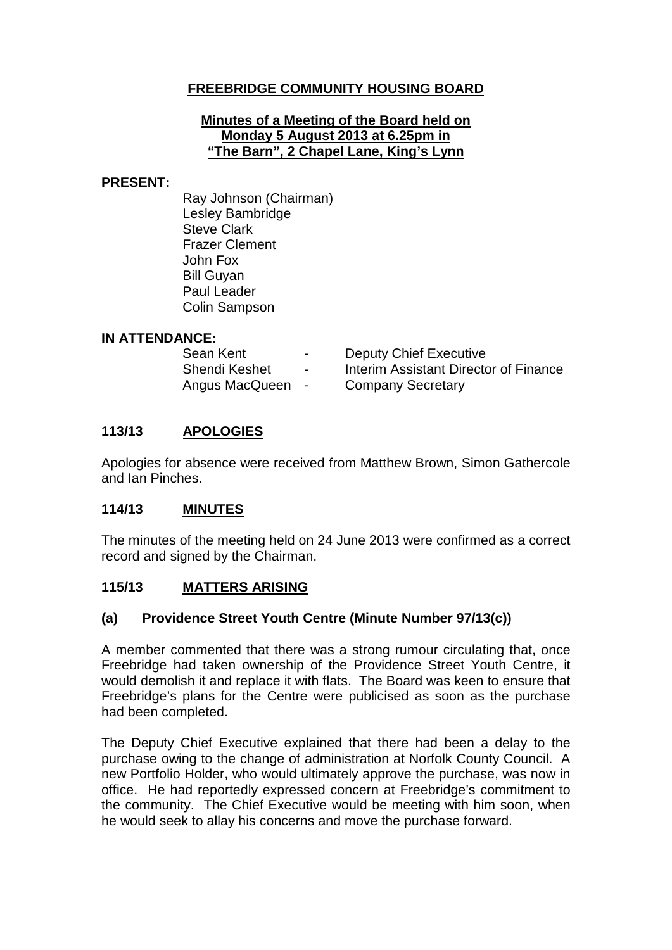# **FREEBRIDGE COMMUNITY HOUSING BOARD**

#### **Minutes of a Meeting of the Board held on Monday 5 August 2013 at 6.25pm in "The Barn", 2 Chapel Lane, King's Lynn**

#### **PRESENT:**

Ray Johnson (Chairman) Lesley Bambridge Steve Clark Frazer Clement John Fox Bill Guyan Paul Leader Colin Sampson

### **IN ATTENDANCE:**

| Sean Kent      | $\blacksquare$ | <b>Deputy Chief Executive</b>         |
|----------------|----------------|---------------------------------------|
| Shendi Keshet  | $\blacksquare$ | Interim Assistant Director of Finance |
| Angus MacQueen | $\sim$         | <b>Company Secretary</b>              |

### **113/13 APOLOGIES**

Apologies for absence were received from Matthew Brown, Simon Gathercole and Ian Pinches.

### **114/13 MINUTES**

The minutes of the meeting held on 24 June 2013 were confirmed as a correct record and signed by the Chairman.

### **115/13 MATTERS ARISING**

### **(a) Providence Street Youth Centre (Minute Number 97/13(c))**

A member commented that there was a strong rumour circulating that, once Freebridge had taken ownership of the Providence Street Youth Centre, it would demolish it and replace it with flats. The Board was keen to ensure that Freebridge's plans for the Centre were publicised as soon as the purchase had been completed.

The Deputy Chief Executive explained that there had been a delay to the purchase owing to the change of administration at Norfolk County Council. A new Portfolio Holder, who would ultimately approve the purchase, was now in office. He had reportedly expressed concern at Freebridge's commitment to the community. The Chief Executive would be meeting with him soon, when he would seek to allay his concerns and move the purchase forward.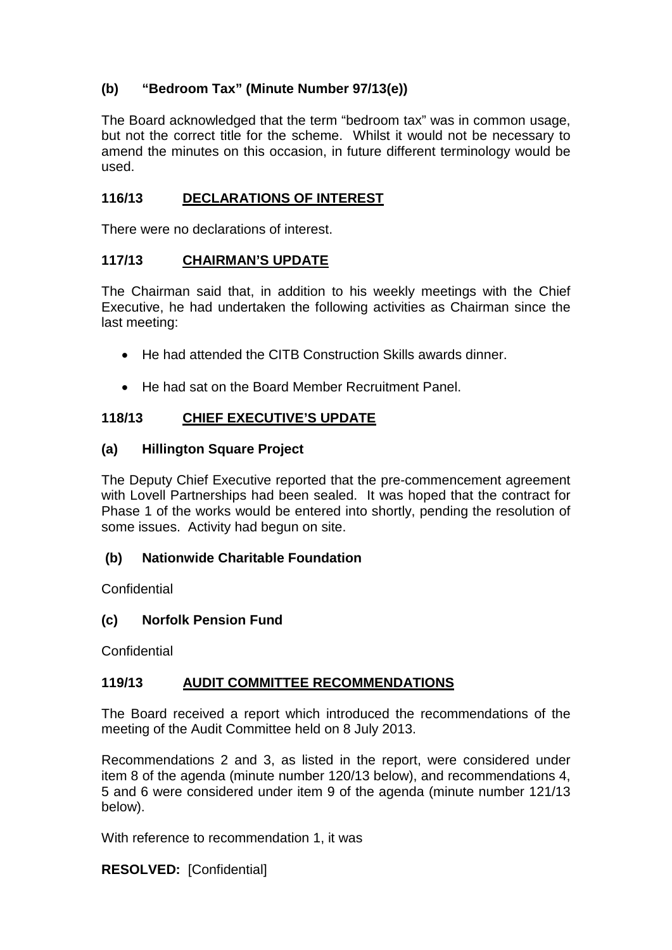# **(b) "Bedroom Tax" (Minute Number 97/13(e))**

The Board acknowledged that the term "bedroom tax" was in common usage, but not the correct title for the scheme. Whilst it would not be necessary to amend the minutes on this occasion, in future different terminology would be used.

# **116/13 DECLARATIONS OF INTEREST**

There were no declarations of interest.

## **117/13 CHAIRMAN'S UPDATE**

The Chairman said that, in addition to his weekly meetings with the Chief Executive, he had undertaken the following activities as Chairman since the last meeting:

- He had attended the CITB Construction Skills awards dinner.
- He had sat on the Board Member Recruitment Panel.

## **118/13 CHIEF EXECUTIVE'S UPDATE**

### **(a) Hillington Square Project**

The Deputy Chief Executive reported that the pre-commencement agreement with Lovell Partnerships had been sealed. It was hoped that the contract for Phase 1 of the works would be entered into shortly, pending the resolution of some issues. Activity had begun on site.

## **(b) Nationwide Charitable Foundation**

**Confidential** 

## **(c) Norfolk Pension Fund**

**Confidential** 

## **119/13 AUDIT COMMITTEE RECOMMENDATIONS**

The Board received a report which introduced the recommendations of the meeting of the Audit Committee held on 8 July 2013.

Recommendations 2 and 3, as listed in the report, were considered under item 8 of the agenda (minute number 120/13 below), and recommendations 4, 5 and 6 were considered under item 9 of the agenda (minute number 121/13 below).

With reference to recommendation 1, it was

**RESOLVED:** [Confidential]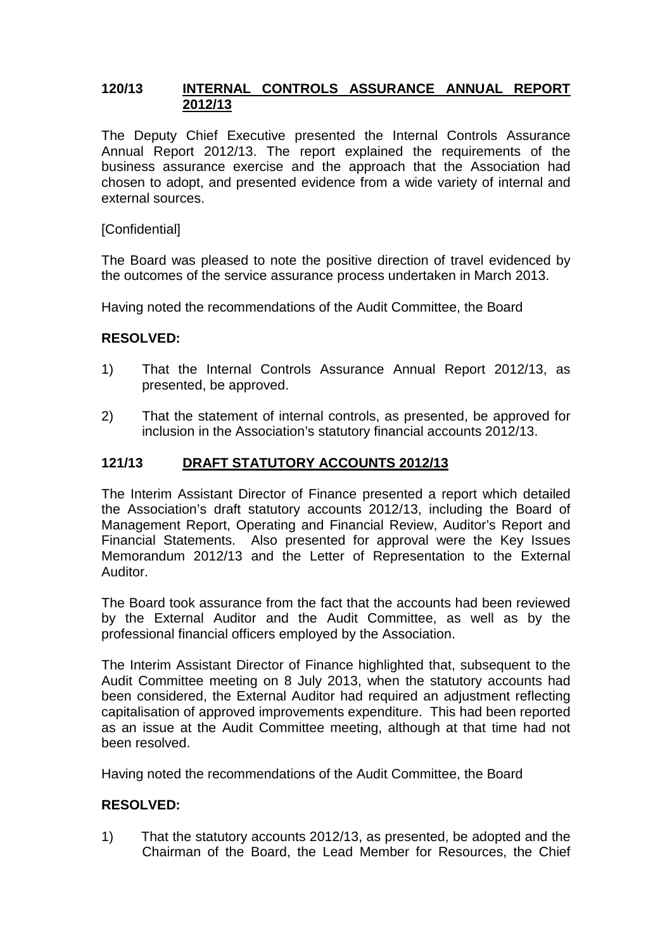### **120/13 INTERNAL CONTROLS ASSURANCE ANNUAL REPORT 2012/13**

The Deputy Chief Executive presented the Internal Controls Assurance Annual Report 2012/13. The report explained the requirements of the business assurance exercise and the approach that the Association had chosen to adopt, and presented evidence from a wide variety of internal and external sources.

### **[Confidential]**

The Board was pleased to note the positive direction of travel evidenced by the outcomes of the service assurance process undertaken in March 2013.

Having noted the recommendations of the Audit Committee, the Board

### **RESOLVED:**

- 1) That the Internal Controls Assurance Annual Report 2012/13, as presented, be approved.
- 2) That the statement of internal controls, as presented, be approved for inclusion in the Association's statutory financial accounts 2012/13.

### **121/13 DRAFT STATUTORY ACCOUNTS 2012/13**

The Interim Assistant Director of Finance presented a report which detailed the Association's draft statutory accounts 2012/13, including the Board of Management Report, Operating and Financial Review, Auditor's Report and Financial Statements. Also presented for approval were the Key Issues Memorandum 2012/13 and the Letter of Representation to the External Auditor.

The Board took assurance from the fact that the accounts had been reviewed by the External Auditor and the Audit Committee, as well as by the professional financial officers employed by the Association.

The Interim Assistant Director of Finance highlighted that, subsequent to the Audit Committee meeting on 8 July 2013, when the statutory accounts had been considered, the External Auditor had required an adjustment reflecting capitalisation of approved improvements expenditure. This had been reported as an issue at the Audit Committee meeting, although at that time had not been resolved.

Having noted the recommendations of the Audit Committee, the Board

## **RESOLVED:**

1) That the statutory accounts 2012/13, as presented, be adopted and the Chairman of the Board, the Lead Member for Resources, the Chief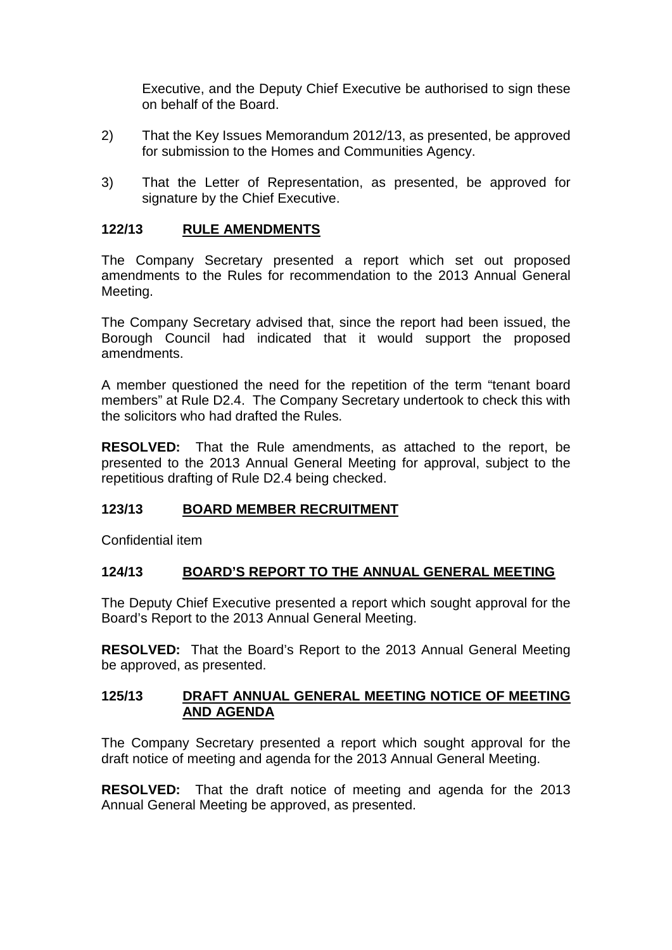Executive, and the Deputy Chief Executive be authorised to sign these on behalf of the Board.

- 2) That the Key Issues Memorandum 2012/13, as presented, be approved for submission to the Homes and Communities Agency.
- 3) That the Letter of Representation, as presented, be approved for signature by the Chief Executive.

### **122/13 RULE AMENDMENTS**

The Company Secretary presented a report which set out proposed amendments to the Rules for recommendation to the 2013 Annual General Meeting.

The Company Secretary advised that, since the report had been issued, the Borough Council had indicated that it would support the proposed amendments.

A member questioned the need for the repetition of the term "tenant board members" at Rule D2.4. The Company Secretary undertook to check this with the solicitors who had drafted the Rules.

**RESOLVED:** That the Rule amendments, as attached to the report, be presented to the 2013 Annual General Meeting for approval, subject to the repetitious drafting of Rule D2.4 being checked.

## **123/13 BOARD MEMBER RECRUITMENT**

Confidential item

### **124/13 BOARD'S REPORT TO THE ANNUAL GENERAL MEETING**

The Deputy Chief Executive presented a report which sought approval for the Board's Report to the 2013 Annual General Meeting.

**RESOLVED:** That the Board's Report to the 2013 Annual General Meeting be approved, as presented.

#### **125/13 DRAFT ANNUAL GENERAL MEETING NOTICE OF MEETING AND AGENDA**

The Company Secretary presented a report which sought approval for the draft notice of meeting and agenda for the 2013 Annual General Meeting.

**RESOLVED:** That the draft notice of meeting and agenda for the 2013 Annual General Meeting be approved, as presented.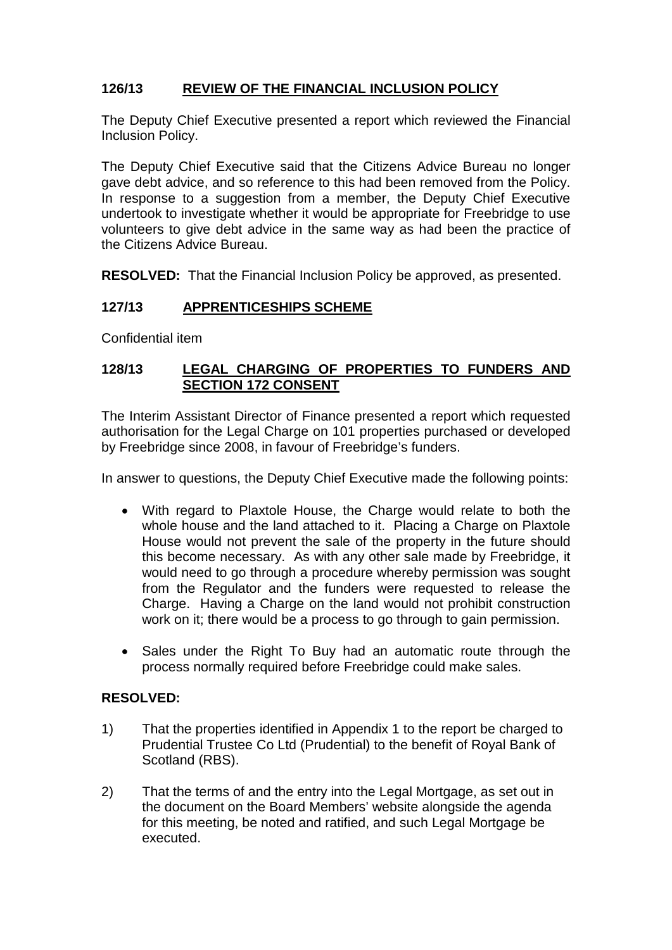# **126/13 REVIEW OF THE FINANCIAL INCLUSION POLICY**

The Deputy Chief Executive presented a report which reviewed the Financial Inclusion Policy.

The Deputy Chief Executive said that the Citizens Advice Bureau no longer gave debt advice, and so reference to this had been removed from the Policy. In response to a suggestion from a member, the Deputy Chief Executive undertook to investigate whether it would be appropriate for Freebridge to use volunteers to give debt advice in the same way as had been the practice of the Citizens Advice Bureau.

**RESOLVED:** That the Financial Inclusion Policy be approved, as presented.

# **127/13 APPRENTICESHIPS SCHEME**

Confidential item

### **128/13 LEGAL CHARGING OF PROPERTIES TO FUNDERS AND SECTION 172 CONSENT**

The Interim Assistant Director of Finance presented a report which requested authorisation for the Legal Charge on 101 properties purchased or developed by Freebridge since 2008, in favour of Freebridge's funders.

In answer to questions, the Deputy Chief Executive made the following points:

- With regard to Plaxtole House, the Charge would relate to both the whole house and the land attached to it. Placing a Charge on Plaxtole House would not prevent the sale of the property in the future should this become necessary. As with any other sale made by Freebridge, it would need to go through a procedure whereby permission was sought from the Regulator and the funders were requested to release the Charge. Having a Charge on the land would not prohibit construction work on it; there would be a process to go through to gain permission.
- Sales under the Right To Buy had an automatic route through the process normally required before Freebridge could make sales.

## **RESOLVED:**

- 1) That the properties identified in Appendix 1 to the report be charged to Prudential Trustee Co Ltd (Prudential) to the benefit of Royal Bank of Scotland (RBS).
- 2) That the terms of and the entry into the Legal Mortgage, as set out in the document on the Board Members' website alongside the agenda for this meeting, be noted and ratified, and such Legal Mortgage be executed.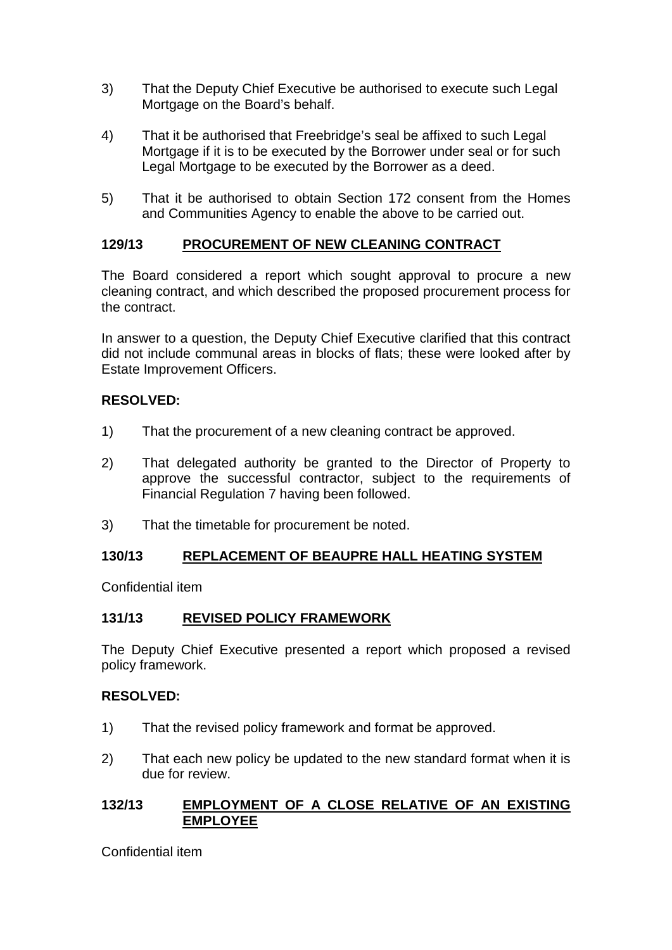- 3) That the Deputy Chief Executive be authorised to execute such Legal Mortgage on the Board's behalf.
- 4) That it be authorised that Freebridge's seal be affixed to such Legal Mortgage if it is to be executed by the Borrower under seal or for such Legal Mortgage to be executed by the Borrower as a deed.
- 5) That it be authorised to obtain Section 172 consent from the Homes and Communities Agency to enable the above to be carried out.

## **129/13 PROCUREMENT OF NEW CLEANING CONTRACT**

The Board considered a report which sought approval to procure a new cleaning contract, and which described the proposed procurement process for the contract.

In answer to a question, the Deputy Chief Executive clarified that this contract did not include communal areas in blocks of flats; these were looked after by Estate Improvement Officers.

### **RESOLVED:**

- 1) That the procurement of a new cleaning contract be approved.
- 2) That delegated authority be granted to the Director of Property to approve the successful contractor, subject to the requirements of Financial Regulation 7 having been followed.
- 3) That the timetable for procurement be noted.

### **130/13 REPLACEMENT OF BEAUPRE HALL HEATING SYSTEM**

Confidential item

### **131/13 REVISED POLICY FRAMEWORK**

The Deputy Chief Executive presented a report which proposed a revised policy framework.

### **RESOLVED:**

- 1) That the revised policy framework and format be approved.
- 2) That each new policy be updated to the new standard format when it is due for review.

### **132/13 EMPLOYMENT OF A CLOSE RELATIVE OF AN EXISTING EMPLOYEE**

Confidential item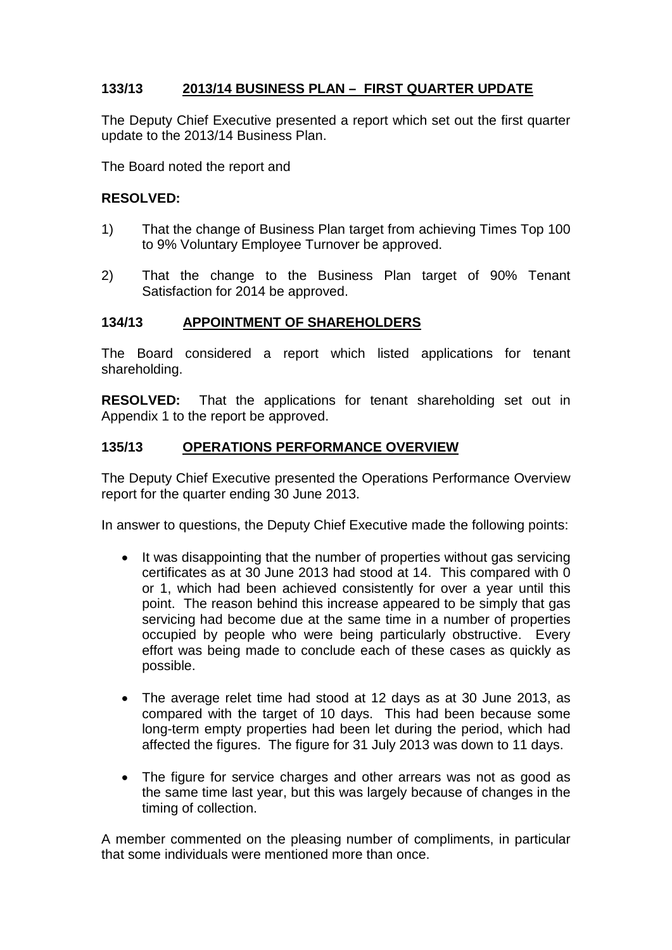## **133/13 2013/14 BUSINESS PLAN – FIRST QUARTER UPDATE**

The Deputy Chief Executive presented a report which set out the first quarter update to the 2013/14 Business Plan.

The Board noted the report and

### **RESOLVED:**

- 1) That the change of Business Plan target from achieving Times Top 100 to 9% Voluntary Employee Turnover be approved.
- 2) That the change to the Business Plan target of 90% Tenant Satisfaction for 2014 be approved.

### **134/13 APPOINTMENT OF SHAREHOLDERS**

The Board considered a report which listed applications for tenant shareholding.

**RESOLVED:** That the applications for tenant shareholding set out in Appendix 1 to the report be approved.

#### **135/13 OPERATIONS PERFORMANCE OVERVIEW**

The Deputy Chief Executive presented the Operations Performance Overview report for the quarter ending 30 June 2013.

In answer to questions, the Deputy Chief Executive made the following points:

- It was disappointing that the number of properties without gas servicing certificates as at 30 June 2013 had stood at 14. This compared with 0 or 1, which had been achieved consistently for over a year until this point. The reason behind this increase appeared to be simply that gas servicing had become due at the same time in a number of properties occupied by people who were being particularly obstructive. Every effort was being made to conclude each of these cases as quickly as possible.
- The average relet time had stood at 12 days as at 30 June 2013, as compared with the target of 10 days. This had been because some long-term empty properties had been let during the period, which had affected the figures. The figure for 31 July 2013 was down to 11 days.
- The figure for service charges and other arrears was not as good as the same time last year, but this was largely because of changes in the timing of collection.

A member commented on the pleasing number of compliments, in particular that some individuals were mentioned more than once.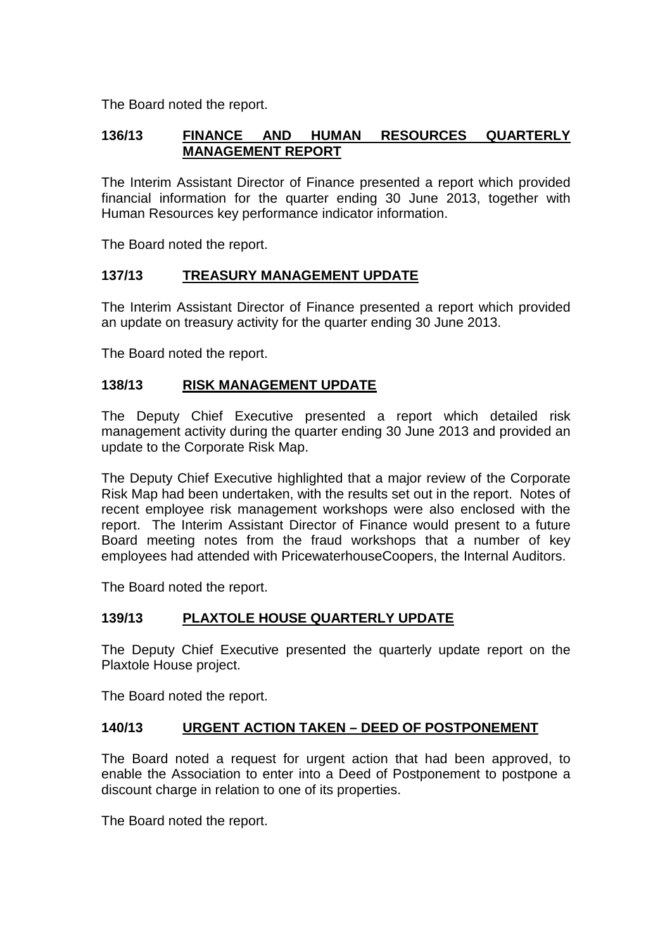The Board noted the report.

## **136/13 FINANCE AND HUMAN RESOURCES QUARTERLY MANAGEMENT REPORT**

The Interim Assistant Director of Finance presented a report which provided financial information for the quarter ending 30 June 2013, together with Human Resources key performance indicator information.

The Board noted the report.

### **137/13 TREASURY MANAGEMENT UPDATE**

The Interim Assistant Director of Finance presented a report which provided an update on treasury activity for the quarter ending 30 June 2013.

The Board noted the report.

### **138/13 RISK MANAGEMENT UPDATE**

The Deputy Chief Executive presented a report which detailed risk management activity during the quarter ending 30 June 2013 and provided an update to the Corporate Risk Map.

The Deputy Chief Executive highlighted that a major review of the Corporate Risk Map had been undertaken, with the results set out in the report. Notes of recent employee risk management workshops were also enclosed with the report. The Interim Assistant Director of Finance would present to a future Board meeting notes from the fraud workshops that a number of key employees had attended with PricewaterhouseCoopers, the Internal Auditors.

The Board noted the report.

## **139/13 PLAXTOLE HOUSE QUARTERLY UPDATE**

The Deputy Chief Executive presented the quarterly update report on the Plaxtole House project.

The Board noted the report.

## **140/13 URGENT ACTION TAKEN – DEED OF POSTPONEMENT**

The Board noted a request for urgent action that had been approved, to enable the Association to enter into a Deed of Postponement to postpone a discount charge in relation to one of its properties.

The Board noted the report.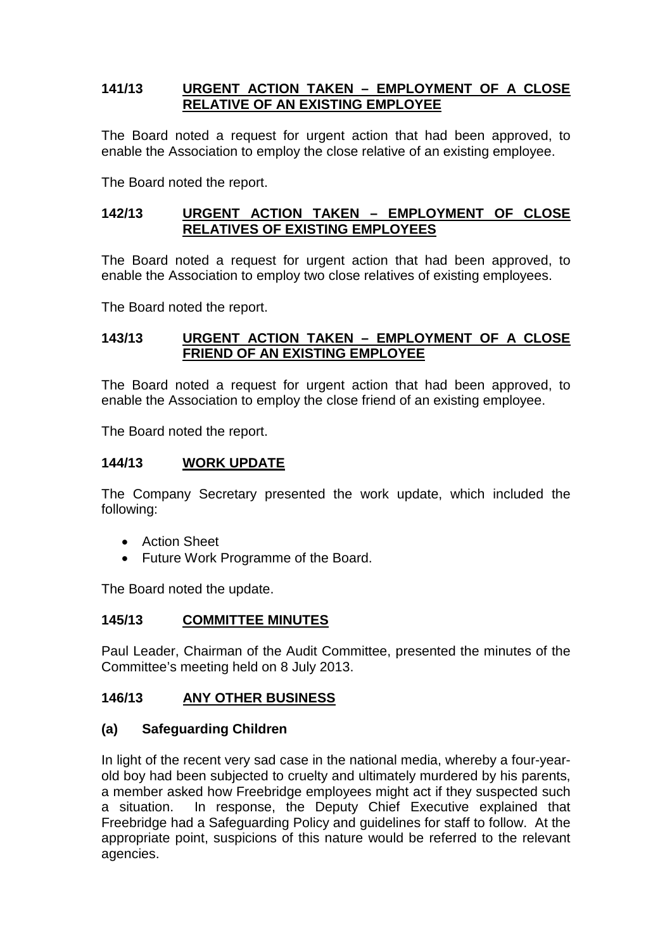### **141/13 URGENT ACTION TAKEN – EMPLOYMENT OF A CLOSE RELATIVE OF AN EXISTING EMPLOYEE**

The Board noted a request for urgent action that had been approved, to enable the Association to employ the close relative of an existing employee.

The Board noted the report.

### **142/13 URGENT ACTION TAKEN – EMPLOYMENT OF CLOSE RELATIVES OF EXISTING EMPLOYEES**

The Board noted a request for urgent action that had been approved, to enable the Association to employ two close relatives of existing employees.

The Board noted the report.

### **143/13 URGENT ACTION TAKEN – EMPLOYMENT OF A CLOSE FRIEND OF AN EXISTING EMPLOYEE**

The Board noted a request for urgent action that had been approved, to enable the Association to employ the close friend of an existing employee.

The Board noted the report.

#### **144/13 WORK UPDATE**

The Company Secretary presented the work update, which included the following:

- Action Sheet
- Future Work Programme of the Board.

The Board noted the update.

#### **145/13 COMMITTEE MINUTES**

Paul Leader, Chairman of the Audit Committee, presented the minutes of the Committee's meeting held on 8 July 2013.

### **146/13 ANY OTHER BUSINESS**

### **(a) Safeguarding Children**

In light of the recent very sad case in the national media, whereby a four-yearold boy had been subjected to cruelty and ultimately murdered by his parents, a member asked how Freebridge employees might act if they suspected such a situation. In response, the Deputy Chief Executive explained that Freebridge had a Safeguarding Policy and guidelines for staff to follow. At the appropriate point, suspicions of this nature would be referred to the relevant agencies.